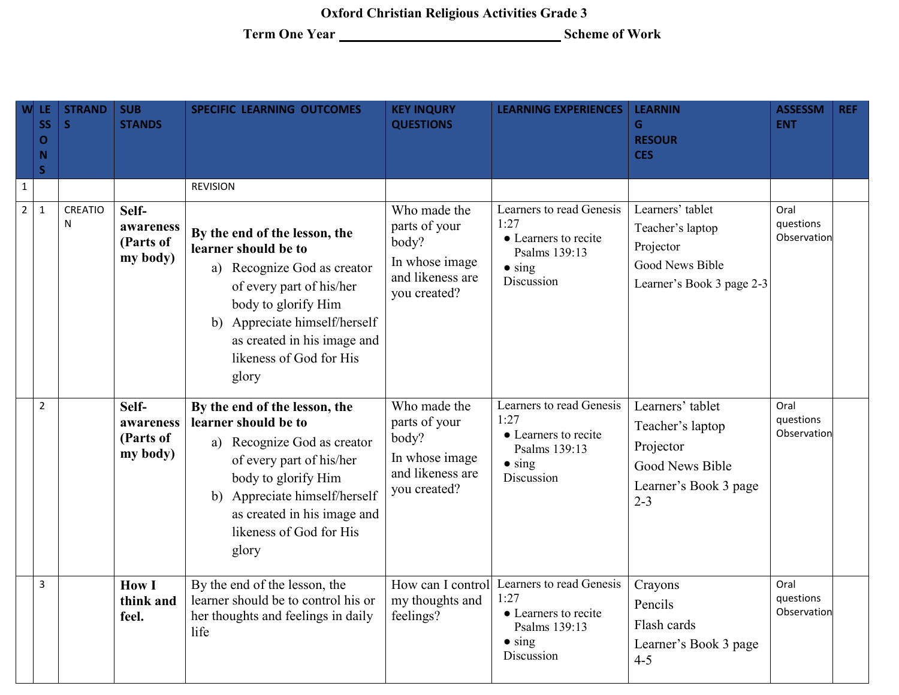**Oxford Christian Religious Activities Grade 3**

**Term One Year Scheme of Work**

| W              | -LE.<br><b>SS</b><br>O<br>$\mathbf N$<br>$\overline{\mathsf{s}}$ | <b>STRAND</b><br>S. | <b>SUB</b><br><b>STANDS</b>                 | <b>SPECIFIC LEARNING OUTCOMES</b>                                                                                                                                                                                                           | <b>KEY INQURY</b><br><b>QUESTIONS</b>                                                        | <b>LEARNING EXPERIENCES</b>                                                                               | <b>LEARNIN</b><br>G.<br><b>RESOUR</b><br><b>CES</b>                                                      | <b>ASSESSM</b><br><b>ENT</b>     | <b>REF</b> |
|----------------|------------------------------------------------------------------|---------------------|---------------------------------------------|---------------------------------------------------------------------------------------------------------------------------------------------------------------------------------------------------------------------------------------------|----------------------------------------------------------------------------------------------|-----------------------------------------------------------------------------------------------------------|----------------------------------------------------------------------------------------------------------|----------------------------------|------------|
| $\mathbf{1}$   |                                                                  |                     |                                             | <b>REVISION</b>                                                                                                                                                                                                                             |                                                                                              |                                                                                                           |                                                                                                          |                                  |            |
| $\overline{2}$ | $\mathbf{1}$                                                     | <b>CREATIO</b><br>N | Self-<br>awareness<br>(Parts of<br>my body) | By the end of the lesson, the<br>learner should be to<br>a) Recognize God as creator<br>of every part of his/her<br>body to glorify Him<br>b) Appreciate himself/herself<br>as created in his image and<br>likeness of God for His<br>glory | Who made the<br>parts of your<br>body?<br>In whose image<br>and likeness are<br>you created? | Learners to read Genesis<br>1:27<br>• Learners to recite<br>Psalms 139:13<br>$\bullet$ sing<br>Discussion | Learners' tablet<br>Teacher's laptop<br>Projector<br>Good News Bible<br>Learner's Book 3 page 2-3        | Oral<br>questions<br>Observation |            |
|                | $\overline{2}$                                                   |                     | Self-<br>awareness<br>(Parts of<br>my body) | By the end of the lesson, the<br>learner should be to<br>a) Recognize God as creator<br>of every part of his/her<br>body to glorify Him<br>b) Appreciate himself/herself<br>as created in his image and<br>likeness of God for His<br>glory | Who made the<br>parts of your<br>body?<br>In whose image<br>and likeness are<br>you created? | Learners to read Genesis<br>1:27<br>• Learners to recite<br>Psalms 139:13<br>$\bullet$ sing<br>Discussion | Learners' tablet<br>Teacher's laptop<br>Projector<br>Good News Bible<br>Learner's Book 3 page<br>$2 - 3$ | Oral<br>questions<br>Observation |            |
|                | $\overline{3}$                                                   |                     | <b>How I</b><br>think and<br>feel.          | By the end of the lesson, the<br>learner should be to control his or<br>her thoughts and feelings in daily<br>life                                                                                                                          | How can I control<br>my thoughts and<br>feelings?                                            | Learners to read Genesis<br>1:27<br>• Learners to recite<br>Psalms 139:13<br>$\bullet$ sing<br>Discussion | Crayons<br>Pencils<br>Flash cards<br>Learner's Book 3 page<br>$4 - 5$                                    | Oral<br>questions<br>Observation |            |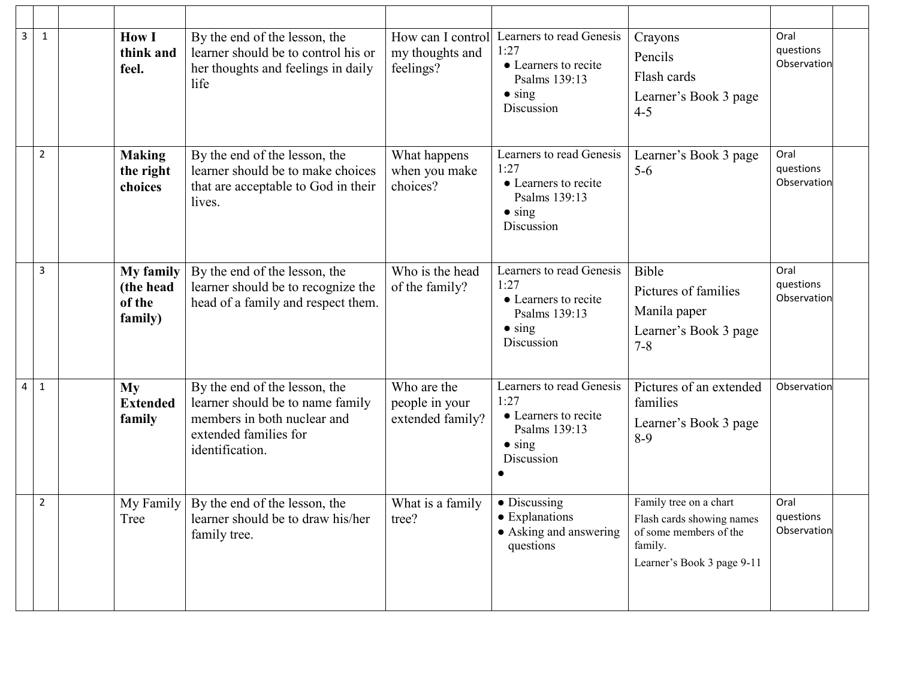| 3<br>$\mathbf{1}$ | <b>How I</b><br>think and<br>feel.                 | By the end of the lesson, the<br>learner should be to control his or<br>her thoughts and feelings in daily<br>life                           | How can I control<br>my thoughts and<br>feelings? | Learners to read Genesis<br>1:27<br>• Learners to recite<br>Psalms 139:13<br>$\bullet$ sing<br>Discussion | Crayons<br>Pencils<br>Flash cards<br>Learner's Book 3 page<br>$4 - 5$                                                  | Oral<br>questions<br>Observation |
|-------------------|----------------------------------------------------|----------------------------------------------------------------------------------------------------------------------------------------------|---------------------------------------------------|-----------------------------------------------------------------------------------------------------------|------------------------------------------------------------------------------------------------------------------------|----------------------------------|
| 2                 | <b>Making</b><br>the right<br>choices              | By the end of the lesson, the<br>learner should be to make choices<br>that are acceptable to God in their<br>lives.                          | What happens<br>when you make<br>choices?         | Learners to read Genesis<br>1:27<br>• Learners to recite<br>Psalms 139:13<br>$\bullet$ sing<br>Discussion | Learner's Book 3 page<br>$5-6$                                                                                         | Oral<br>questions<br>Observation |
| 3                 | <b>My family</b><br>(the head<br>of the<br>family) | By the end of the lesson, the<br>learner should be to recognize the<br>head of a family and respect them.                                    | Who is the head<br>of the family?                 | Learners to read Genesis<br>1:27<br>• Learners to recite<br>Psalms 139:13<br>$\bullet$ sing<br>Discussion | Bible<br>Pictures of families<br>Manila paper<br>Learner's Book 3 page<br>$7 - 8$                                      | Oral<br>questions<br>Observation |
| 4<br>$\mathbf{1}$ | <b>My</b><br><b>Extended</b><br>family             | By the end of the lesson, the<br>learner should be to name family<br>members in both nuclear and<br>extended families for<br>identification. | Who are the<br>people in your<br>extended family? | Learners to read Genesis<br>1:27<br>• Learners to recite<br>Psalms 139:13<br>$\bullet$ sing<br>Discussion | Pictures of an extended<br>families<br>Learner's Book 3 page<br>$8-9$                                                  | Observation                      |
| 2                 | My Family<br>Tree                                  | By the end of the lesson, the<br>learner should be to draw his/her<br>family tree.                                                           | What is a family<br>tree?                         | $\bullet$ Discussing<br>• Explanations<br>• Asking and answering<br>questions                             | Family tree on a chart<br>Flash cards showing names<br>of some members of the<br>family.<br>Learner's Book 3 page 9-11 | Oral<br>questions<br>Observation |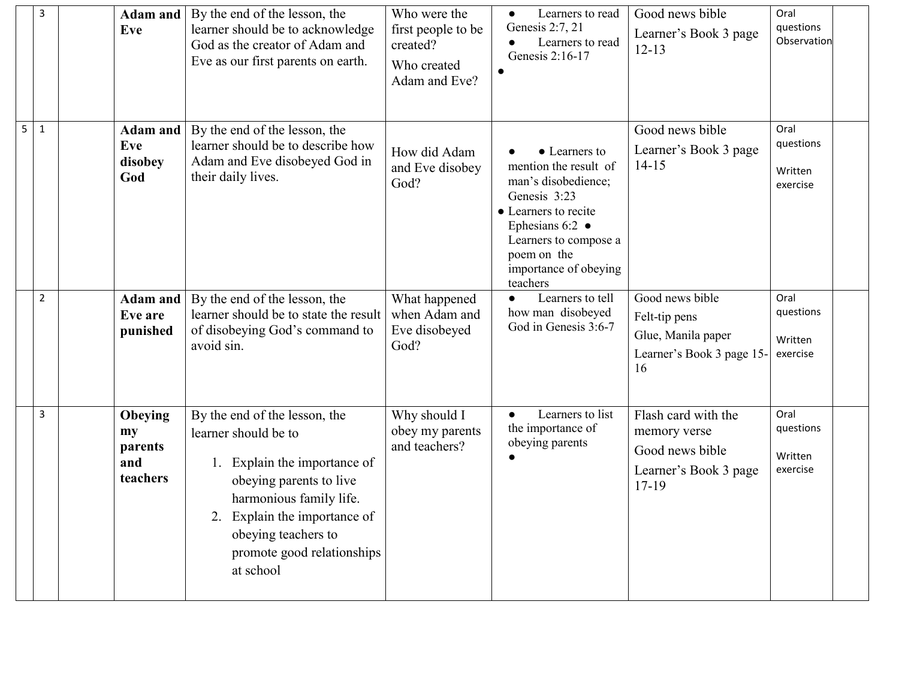| 3                 | Adam and<br>Eve                             | By the end of the lesson, the<br>learner should be to acknowledge<br>God as the creator of Adam and<br>Eve as our first parents on earth.                                                                                                        | Who were the<br>first people to be<br>created?<br>Who created<br>Adam and Eve? | Learners to read<br>$\bullet$<br>Genesis 2:7, 21<br>Learners to read<br>$\bullet$<br>Genesis 2:16-17                                                                                                          | Good news bible<br>Learner's Book 3 page<br>$12 - 13$                                      | Oral<br>questions<br>Observation         |  |
|-------------------|---------------------------------------------|--------------------------------------------------------------------------------------------------------------------------------------------------------------------------------------------------------------------------------------------------|--------------------------------------------------------------------------------|---------------------------------------------------------------------------------------------------------------------------------------------------------------------------------------------------------------|--------------------------------------------------------------------------------------------|------------------------------------------|--|
| 5<br>$\mathbf{1}$ | Adam and<br>Eve<br>disobey<br>God           | By the end of the lesson, the<br>learner should be to describe how<br>Adam and Eve disobeyed God in<br>their daily lives.                                                                                                                        | How did Adam<br>and Eve disobey<br>God?                                        | • Learners to<br>mention the result of<br>man's disobedience;<br>Genesis 3:23<br>• Learners to recite<br>Ephesians 6:2 $\bullet$<br>Learners to compose a<br>poem on the<br>importance of obeying<br>teachers | Good news bible<br>Learner's Book 3 page<br>$14 - 15$                                      | Oral<br>questions<br>Written<br>exercise |  |
| $\overline{2}$    | Adam and<br>Eve are<br>punished             | By the end of the lesson, the<br>learner should be to state the result<br>of disobeying God's command to<br>avoid sin.                                                                                                                           | What happened<br>when Adam and<br>Eve disobeyed<br>God?                        | Learners to tell<br>$\bullet$<br>how man disobeyed<br>God in Genesis 3:6-7                                                                                                                                    | Good news bible<br>Felt-tip pens<br>Glue, Manila paper<br>Learner's Book 3 page 15-<br>16  | Oral<br>questions<br>Written<br>exercise |  |
| 3                 | Obeying<br>my<br>parents<br>and<br>teachers | By the end of the lesson, the<br>learner should be to<br>1. Explain the importance of<br>obeying parents to live<br>harmonious family life.<br>Explain the importance of<br>2.<br>obeying teachers to<br>promote good relationships<br>at school | Why should I<br>obey my parents<br>and teachers?                               | Learners to list<br>$\bullet$<br>the importance of<br>obeying parents                                                                                                                                         | Flash card with the<br>memory verse<br>Good news bible<br>Learner's Book 3 page<br>$17-19$ | Oral<br>questions<br>Written<br>exercise |  |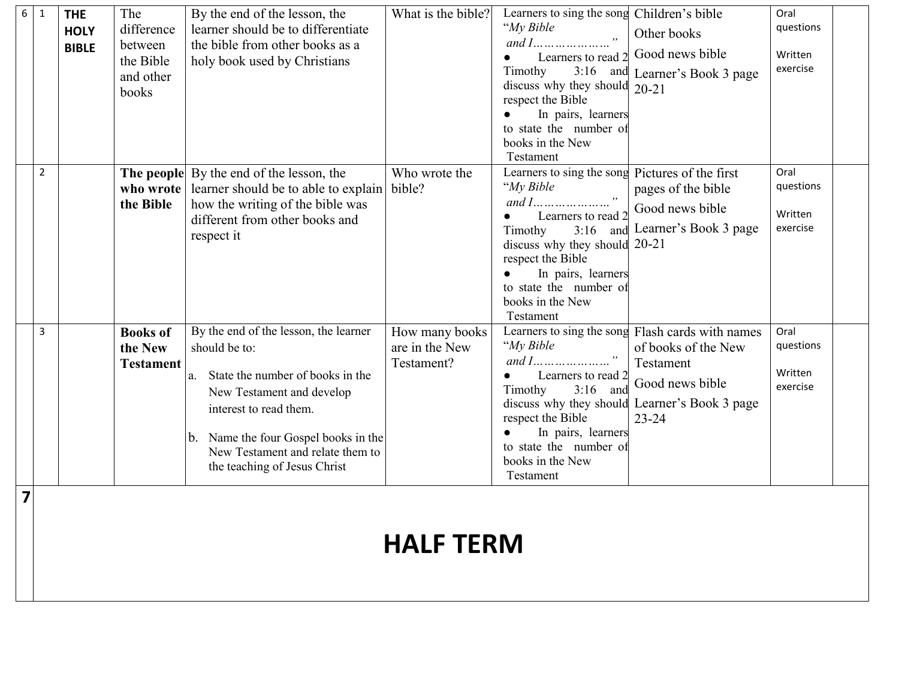| 6 | $\mathbf{1}$   | <b>THE</b><br><b>HOLY</b><br><b>BIBLE</b> | The<br>difference<br>between<br>the Bible<br>and other<br>books | By the end of the lesson, the<br>learner should be to differentiate<br>the bible from other books as a<br>holy book used by Christians                                                                                                                           | What is the bible?                             | Learners to sing the song Children's bible<br>"My Bible<br>Learners to read 2<br>$3:16$ and<br>Timothy<br>discuss why they should $20-21$<br>respect the Bible<br>In pairs, learners<br>to state the number of<br>books in the New<br>Testament | Other books<br>Good news bible<br>Learner's Book 3 page                                                                                       | Oral<br>questions<br>Written<br>exercise |
|---|----------------|-------------------------------------------|-----------------------------------------------------------------|------------------------------------------------------------------------------------------------------------------------------------------------------------------------------------------------------------------------------------------------------------------|------------------------------------------------|-------------------------------------------------------------------------------------------------------------------------------------------------------------------------------------------------------------------------------------------------|-----------------------------------------------------------------------------------------------------------------------------------------------|------------------------------------------|
|   | $\overline{2}$ |                                           | who wrote<br>the Bible                                          | The people By the end of the lesson, the<br>learner should be to able to explain<br>how the writing of the bible was<br>different from other books and<br>respect it                                                                                             | Who wrote the<br>bible?                        | Learners to sing the song Pictures of the first<br>"My Bible<br>Learners to read 2<br>Timothy<br>discuss why they should 20-21<br>respect the Bible<br>In pairs, learners<br>to state the number of<br>books in the New<br>Testament            | pages of the bible<br>Good news bible<br>3:16 and Learner's Book 3 page                                                                       | Oral<br>questions<br>Written<br>exercise |
|   | 3              |                                           | <b>Books of</b><br>the New<br><b>Testament</b>                  | By the end of the lesson, the learner<br>should be to:<br>State the number of books in the<br>a.<br>New Testament and develop<br>interest to read them.<br>Name the four Gospel books in the<br>New Testament and relate them to<br>the teaching of Jesus Christ | How many books<br>are in the New<br>Testament? | "My Bible<br>Learners to read 2<br>Timothy<br>$3:16$ and<br>discuss why they should<br>respect the Bible<br>In pairs, learners<br>to state the number of<br>books in the New<br>Testament                                                       | Learners to sing the song Flash cards with names<br>of books of the New<br>Testament<br>Good news bible<br>Learner's Book 3 page<br>$23 - 24$ | Oral<br>questions<br>Written<br>exercise |
| 7 |                |                                           |                                                                 |                                                                                                                                                                                                                                                                  | <b>HALF TERM</b>                               |                                                                                                                                                                                                                                                 |                                                                                                                                               |                                          |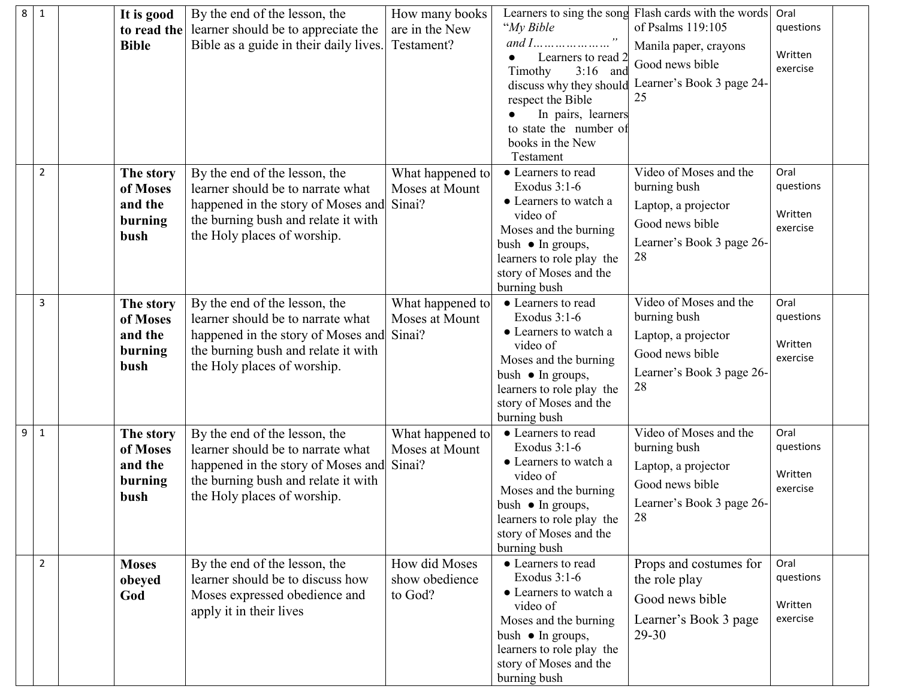| 8 | $\mathbf{1}$   | It is good<br>to read the<br><b>Bible</b>           | By the end of the lesson, the<br>learner should be to appreciate the<br>Bible as a guide in their daily lives.                                                                 | How many books<br>are in the New<br>Testament? | "My Bible<br>Learners to read 2<br>Timothy<br>$3:16$ and<br>discuss why they should<br>respect the Bible<br>In pairs, learners<br>to state the number of<br>books in the New                                        | Learners to sing the song Flash cards with the words<br>of Psalms 119:105<br>Manila paper, crayons<br>Good news bible<br>Learner's Book 3 page 24-<br>25 | Oral<br>questions<br>Written<br>exercise |
|---|----------------|-----------------------------------------------------|--------------------------------------------------------------------------------------------------------------------------------------------------------------------------------|------------------------------------------------|---------------------------------------------------------------------------------------------------------------------------------------------------------------------------------------------------------------------|----------------------------------------------------------------------------------------------------------------------------------------------------------|------------------------------------------|
|   | 2              | The story<br>of Moses<br>and the<br>burning<br>bush | By the end of the lesson, the<br>learner should be to narrate what<br>happened in the story of Moses and<br>the burning bush and relate it with<br>the Holy places of worship. | What happened to<br>Moses at Mount<br>Sinai?   | Testament<br>• Learners to read<br>Exodus $3:1-6$<br>• Learners to watch a<br>video of<br>Moses and the burning<br>bush $\bullet$ In groups,<br>learners to role play the<br>story of Moses and the<br>burning bush | Video of Moses and the<br>burning bush<br>Laptop, a projector<br>Good news bible<br>Learner's Book 3 page 26-<br>28                                      | Oral<br>questions<br>Written<br>exercise |
|   | 3              | The story<br>of Moses<br>and the<br>burning<br>bush | By the end of the lesson, the<br>learner should be to narrate what<br>happened in the story of Moses and<br>the burning bush and relate it with<br>the Holy places of worship. | What happened to<br>Moses at Mount<br>Sinai?   | • Learners to read<br>Exodus $3:1-6$<br>• Learners to watch a<br>video of<br>Moses and the burning<br>bush $\bullet$ In groups,<br>learners to role play the<br>story of Moses and the<br>burning bush              | Video of Moses and the<br>burning bush<br>Laptop, a projector<br>Good news bible<br>Learner's Book 3 page 26-<br>28                                      | Oral<br>questions<br>Written<br>exercise |
| 9 | $\mathbf{1}$   | The story<br>of Moses<br>and the<br>burning<br>bush | By the end of the lesson, the<br>learner should be to narrate what<br>happened in the story of Moses and<br>the burning bush and relate it with<br>the Holy places of worship. | What happened to<br>Moses at Mount<br>Sinai?   | • Learners to read<br>Exodus $3:1-6$<br>• Learners to watch a<br>video of<br>Moses and the burning<br>bush • In groups,<br>learners to role play the<br>story of Moses and the<br>burning bush                      | Video of Moses and the<br>burning bush<br>Laptop, a projector<br>Good news bible<br>Learner's Book 3 page 26-<br>28                                      | Oral<br>questions<br>Written<br>exercise |
|   | $\overline{2}$ | <b>Moses</b><br>obeyed<br>God                       | By the end of the lesson, the<br>learner should be to discuss how<br>Moses expressed obedience and<br>apply it in their lives                                                  | How did Moses<br>show obedience<br>to God?     | • Learners to read<br>Exodus $3:1-6$<br>• Learners to watch a<br>video of<br>Moses and the burning<br>bush $\bullet$ In groups,<br>learners to role play the<br>story of Moses and the<br>burning bush              | Props and costumes for<br>the role play<br>Good news bible<br>Learner's Book 3 page<br>$29 - 30$                                                         | Oral<br>questions<br>Written<br>exercise |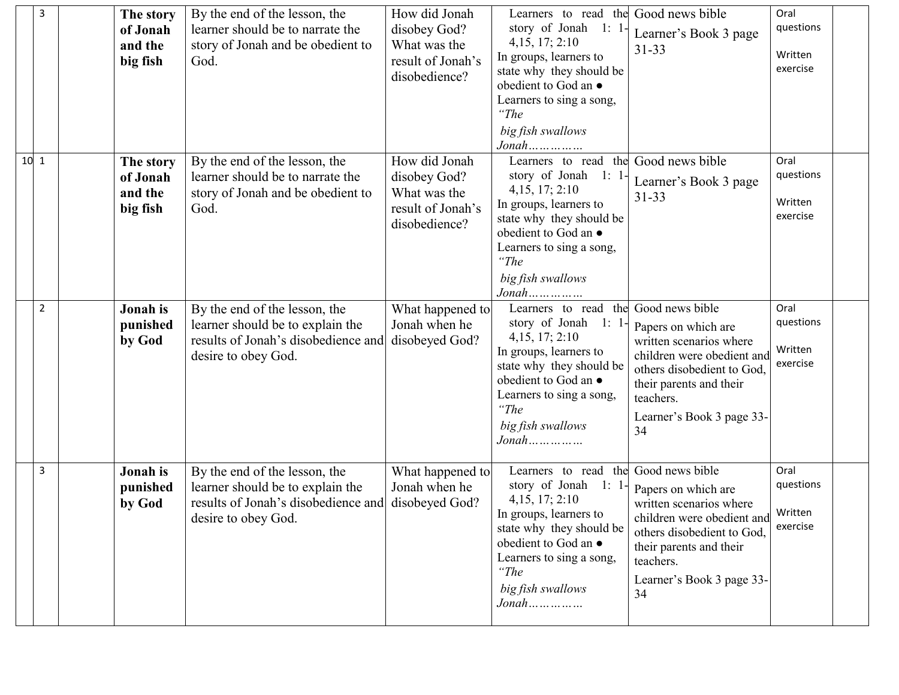| 3      | The story<br>of Jonah<br>and the<br>big fish | By the end of the lesson, the<br>learner should be to narrate the<br>story of Jonah and be obedient to<br>God.                  | How did Jonah<br>disobey God?<br>What was the<br>result of Jonah's<br>disobedience? | Learners to read the Good news bible<br>story of Jonah 1: 1-<br>4,15, 17; 2:10<br>In groups, learners to<br>state why they should be<br>obedient to God an $\bullet$<br>Learners to sing a song,<br>"The<br>big fish swallows<br>$Jonah$                   | Learner's Book 3 page<br>$31 - 33$                                                                                                                                                    | Oral<br>questions<br>Written<br>exercise |
|--------|----------------------------------------------|---------------------------------------------------------------------------------------------------------------------------------|-------------------------------------------------------------------------------------|------------------------------------------------------------------------------------------------------------------------------------------------------------------------------------------------------------------------------------------------------------|---------------------------------------------------------------------------------------------------------------------------------------------------------------------------------------|------------------------------------------|
| $10$ 1 | The story<br>of Jonah<br>and the<br>big fish | By the end of the lesson, the<br>learner should be to narrate the<br>story of Jonah and be obedient to<br>God.                  | How did Jonah<br>disobey God?<br>What was the<br>result of Jonah's<br>disobedience? | Learners to read the Good news bible<br>story of Jonah 1: 1-<br>4,15, 17; 2:10<br>In groups, learners to<br>state why they should be<br>obedient to God an $\bullet$<br>Learners to sing a song,<br>"The<br>big fish swallows<br>$Jonah$                   | Learner's Book 3 page<br>$31 - 33$                                                                                                                                                    | Oral<br>questions<br>Written<br>exercise |
| 2      | Jonah is<br>punished<br>by God               | By the end of the lesson, the<br>learner should be to explain the<br>results of Jonah's disobedience and<br>desire to obey God. | What happened to<br>Jonah when he<br>disobeyed God?                                 | Learners to read the Good news bible<br>story of Jonah 1: 1-<br>4,15, 17; 2:10<br>In groups, learners to<br>state why they should be<br>obedient to God an $\bullet$<br>Learners to sing a song,<br>"The<br>big fish swallows<br>$\mathit{Jonathan}$       | Papers on which are<br>written scenarios where<br>children were obedient and<br>others disobedient to God,<br>their parents and their<br>teachers.<br>Learner's Book 3 page 33-<br>34 | Oral<br>questions<br>Written<br>exercise |
| 3      | Jonah is<br>punished<br>by God               | By the end of the lesson, the<br>learner should be to explain the<br>results of Jonah's disobedience and<br>desire to obey God. | What happened to<br>Jonah when he<br>disobeyed God?                                 | Learners to read the Good news bible<br>story of Jonah 1: 1-<br>4, 15, 17; 2:10<br>In groups, learners to<br>state why they should be<br>obedient to God an $\bullet$<br>Learners to sing a song,<br>$\lq$ The<br>big fish swallows<br>$\mathit{Jonathan}$ | Papers on which are<br>written scenarios where<br>children were obedient and<br>others disobedient to God,<br>their parents and their<br>teachers.<br>Learner's Book 3 page 33-<br>34 | Oral<br>questions<br>Written<br>exercise |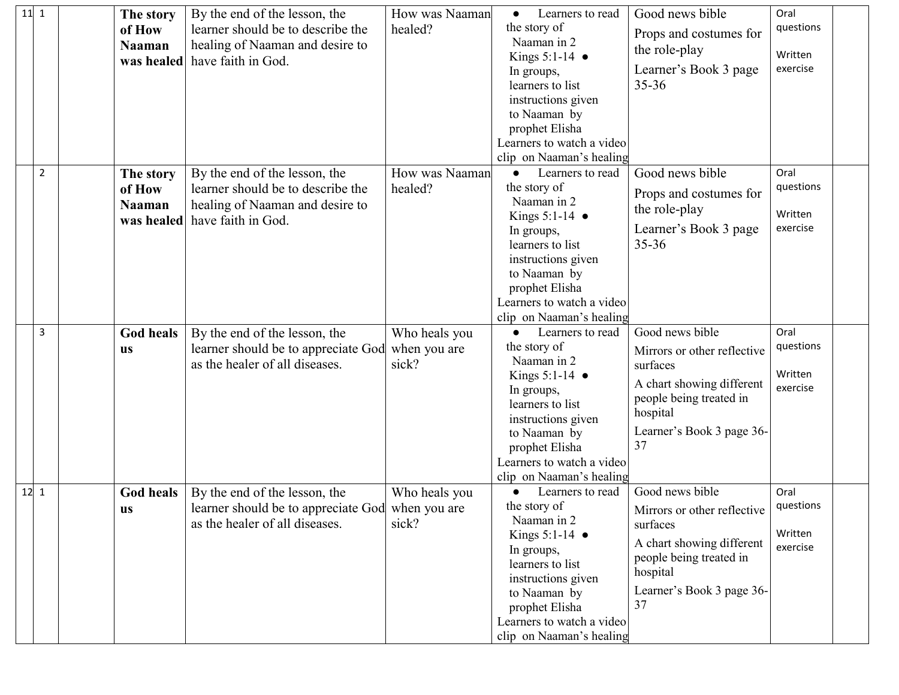| $11$ 1 | The story     | By the end of the lesson, the                    | How was Naaman | Learners to read<br>$\bullet$          | Good news bible             | Oral                |  |
|--------|---------------|--------------------------------------------------|----------------|----------------------------------------|-----------------------------|---------------------|--|
|        | of How        | learner should be to describe the                | healed?        | the story of                           | Props and costumes for      | questions           |  |
|        | <b>Naaman</b> | healing of Naaman and desire to                  |                | Naaman in 2                            | the role-play               | Written             |  |
|        | was healed    | have faith in God.                               |                | Kings $5:1-14$ $\bullet$               | Learner's Book 3 page       | exercise            |  |
|        |               |                                                  |                | In groups,<br>learners to list         | $35 - 36$                   |                     |  |
|        |               |                                                  |                | instructions given                     |                             |                     |  |
|        |               |                                                  |                | to Naaman by                           |                             |                     |  |
|        |               |                                                  |                | prophet Elisha                         |                             |                     |  |
|        |               |                                                  |                | Learners to watch a video              |                             |                     |  |
|        |               |                                                  |                | clip on Naaman's healing               |                             |                     |  |
| 2      | The story     | By the end of the lesson, the                    | How was Naaman | Learners to read<br>$\bullet$          | Good news bible             | Oral                |  |
|        | of How        | learner should be to describe the                | healed?        | the story of                           | Props and costumes for      | questions           |  |
|        | <b>Naaman</b> | healing of Naaman and desire to                  |                | Naaman in 2                            | the role-play               |                     |  |
|        |               | was healed have faith in God.                    |                | Kings $5:1-14$ $\bullet$               |                             | Written             |  |
|        |               |                                                  |                | In groups,                             | Learner's Book 3 page       | exercise            |  |
|        |               |                                                  |                | learners to list<br>instructions given | $35 - 36$                   |                     |  |
|        |               |                                                  |                | to Naaman by                           |                             |                     |  |
|        |               |                                                  |                | prophet Elisha                         |                             |                     |  |
|        |               |                                                  |                | Learners to watch a video              |                             |                     |  |
|        |               |                                                  |                | clip on Naaman's healing               |                             |                     |  |
| 3      | God heals     | By the end of the lesson, the                    | Who heals you  | Learners to read                       | Good news bible             | Oral                |  |
|        | <b>us</b>     | learner should be to appreciate God              | when you are   | the story of                           | Mirrors or other reflective | questions           |  |
|        |               | as the healer of all diseases.                   | sick?          | Naaman in 2                            | surfaces                    |                     |  |
|        |               |                                                  |                | Kings $5:1-14$ $\bullet$               | A chart showing different   | Written<br>exercise |  |
|        |               |                                                  |                | In groups,<br>learners to list         | people being treated in     |                     |  |
|        |               |                                                  |                | instructions given                     | hospital                    |                     |  |
|        |               |                                                  |                | to Naaman by                           | Learner's Book 3 page 36-   |                     |  |
|        |               |                                                  |                | prophet Elisha                         | 37                          |                     |  |
|        |               |                                                  |                | Learners to watch a video              |                             |                     |  |
|        |               |                                                  |                | clip on Naaman's healing               |                             |                     |  |
| $12$ 1 | God heals     | By the end of the lesson, the                    | Who heals you  | Learners to read                       | Good news bible             | Oral                |  |
|        | <b>us</b>     | learner should be to appreciate God when you are |                | the story of                           | Mirrors or other reflective | questions           |  |
|        |               | as the healer of all diseases.                   | sick?          | Naaman in 2                            | surfaces                    | Written             |  |
|        |               |                                                  |                | Kings $5:1-14$ $\bullet$<br>In groups, | A chart showing different   | exercise            |  |
|        |               |                                                  |                | learners to list                       | people being treated in     |                     |  |
|        |               |                                                  |                | instructions given                     | hospital                    |                     |  |
|        |               |                                                  |                | to Naaman by                           | Learner's Book 3 page 36-   |                     |  |
|        |               |                                                  |                | prophet Elisha                         | 37                          |                     |  |
|        |               |                                                  |                | Learners to watch a video              |                             |                     |  |
|        |               |                                                  |                | clip on Naaman's healing               |                             |                     |  |